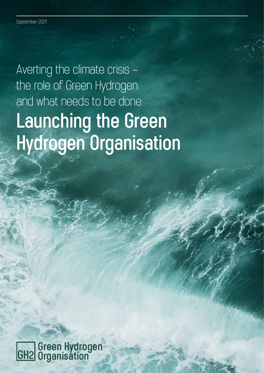Averting the climate crisis – the role of Green Hydrogen and what needs to be done **Launching the Green Hydrogen Organisation**

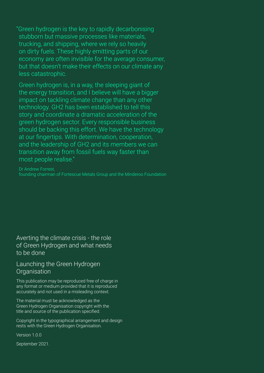"Green hydrogen is the key to rapidly decarbonising stubborn but massive processes like materials, trucking, and shipping, where we rely so heavily on dirty fuels. These highly emitting parts of our economy are often invisible for the average consumer, but that doesn't make their effects on our climate any less catastrophic.

Green hydrogen is, in a way, the sleeping giant of the energy transition, and I believe will have a bigger impact on tackling climate change than any other technology. GH2 has been established to tell this story and coordinate a dramatic acceleration of the green hydrogen sector. Every responsible business should be backing this effort. We have the technology at our fingertips. With determination, cooperation, and the leadership of GH2 and its members we can transition away from fossil fuels way faster than most people realise."

Dr Andrew Forrest, founding chairman of Fortescue Metals Group and the Minderoo Foundation

Averting the climate crisis - the role of Green Hydrogen and what needs to be done

#### Launching the Green Hydrogen **Organisation**

This publication may be reproduced free of charge in any format or medium provided that it is reproduced accurately and not used in a misleading context.

The material must be acknowledged as the Green Hydrogen Organisation copyright with the title and source of the publication specified.

Copyright in the typographical arrangement and design rests with the Green Hydrogen Organisation.

Version 1.0.0

September 2021.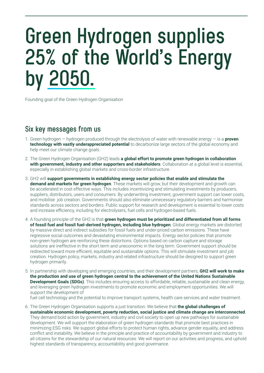## **Green Hydrogen supplies 25% of the World's Energy by 2050.**

Founding goal of the Green Hydrogen Organisation

### **Six key messages from us**

- 1. Green hydrogen hydrogen produced through the electrolysis of water with renewable energy is a **proven technology with vastly underappreciated potential** to decarbonize large sectors of the global economy and help meet our climate change goals.
- 2. The Green Hydrogen Organisation (GH2) leads **a global effort to promote green hydrogen in collaboration with government, industry and other supporters and stakeholders**. Collaboration at a global level is essential, especially in establishing global markets and cross-border infrastructure.
- 3. GH2 will **support governments in establishing energy sector policies that enable and stimulate the demand and markets for green hydrogen**. These markets will grow, but their development and growth can be accelerated in cost effective ways. This includes incentivizing and stimulating investments by producers, suppliers, distributors, users and consumers. By underwriting investment, government support can lower costs, and mobilise job creation. Governments should also eliminate unnecessary regulatory barriers and harmonise standards across sectors and borders. Public support for research and development is essential to lower costs and increase efficiency, including for electrolysers, fuel cells and hydrogen-based fuels.
- 4. A founding principle of the GH2 is that **green hydrogen must be prioritized and differentiated from all forms of fossil fuel and fossil fuel-derived hydrogen, including blue hydrogen**. Global energy markets are distorted by massive direct and indirect subsidies for fossil fuels and under-priced carbon emissions. These have regressive social outcomes and devastating environmental impacts. Energy sector policies that promote non-green hydrogen are reinforcing these distortions. Options based on carbon capture and storage solutions are ineffective in the short term and uneconomic in the long term. Government support should be redirected toward more efficient, equitable and sustainable options. This will stimulate investment and job creation. Hydrogen policy, markets, industry and related infrastructure should be designed to support green hydrogen primarily.
- 5. In partnership with developing and emerging countries, and their development partners, **GH2 will work to make the production and use of green hydrogen central to the achievement of the United Nations Sustainable Development Goals (SDGs)**. This includes ensuring access to affordable, reliable, sustainable and clean energy, and leveraging green hydrogen investments to promote economic and employment opportunities. We will support the development of fuel cell technology and the potential to improve transport systems, health care services and water treatment.
- 6. The Green Hydrogen Organisation supports a just transition. We believe that **the global challenges of sustainable economic development, poverty reduction, social justice and climate change are interconnected**. They demand bold action by government, industry and civil society to open up new pathways for sustainable development. We will support the elaboration of green hydrogen standards that promote best practices in minimizing ESG risks. We support global efforts to protect human rights, advance gender equality, and address conflict and instability. We believe in the principle and practice of accountability by government and industry to all citizens for the stewardship of our natural resources. We will report on our activities and progress, and uphold highest standards of transparency, accountability and good governance.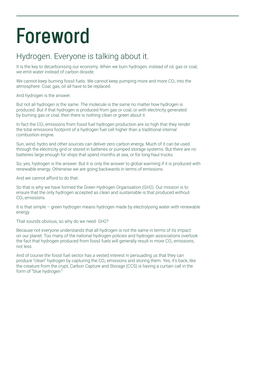# **Foreword**

### Hydrogen. Everyone is talking about it.

It is the key to decarbonising our economy. When we burn hydrogen, instead of oil, gas or coal, we emit water instead of carbon dioxide.

We cannot keep burning fossil fuels. We cannot keep pumping more and more  $CO<sub>2</sub>$  into the atmosphere. Coal, gas, oil all have to be replaced.

And hydrogen is the answer.

But not all hydrogen is the same. The molecule is the same no matter how hydrogen is produced. But if that hydrogen is produced from gas or coal, or with electricity generated by burning gas or coal, then there is nothing clean or green about it.

In fact the  $CO<sub>2</sub>$  emissions from fossil fuel hydrogen production are so high that they render the total emissions footprint of a hydrogen fuel cell higher than a traditional internal combustion engine.

Sun, wind, hydro and other sources can deliver zero carbon energy. Much of it can be used through the electricity grid or stored in batteries or pumped storage systems. But there are no batteries large enough for ships that spend months at sea, or for long-haul trucks.

So, yes, hydrogen is the answer. But it is only the answer to global warming if it is produced with renewable energy. Otherwise we are going backwards in terms of emissions.

And we cannot afford to do that.

So that is why we have formed the Green Hydrogen Organisation (GH2). Our mission is to ensure that the only hydrogen accepted as clean and sustainable is that produced without CO<sub>2</sub> emissions.

It is that simple – green hydrogen means hydrogen made by electrolysing water with renewable energy.

That sounds obvious, so why do we need GH2?

Because not everyone understands that all hydrogen is not the same in terms of its impact on our planet. Too many of the national hydrogen policies and hydrogen associations overlook the fact that hydrogen produced from fossil fuels will generally result in more  $CO<sub>2</sub>$  emissions, not less.

And of course the fossil fuel sector has a vested interest in persuading us that they can produce "clean" hydrogen by capturing the  $CO<sub>2</sub>$  emissions and storing them. Yes, it's back, like the creature from the crypt, Carbon Capture and Storage (CCS) is having a curtain call in the form of "blue hydrogen."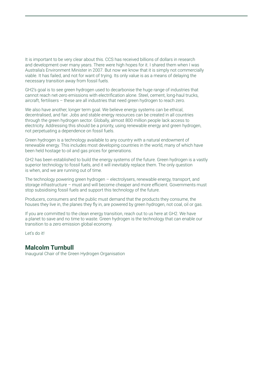It is important to be very clear about this. CCS has received billions of dollars in research and development over many years. There were high hopes for it. I shared them when I was Australia's Environment Minister in 2007. But now we know that it is simply not commercially viable. It has failed, and not for want of trying. Its only value is as a means of delaying the necessary transition away from fossil fuels.

GH2's goal is to see green hydrogen used to decarbonise the huge range of industries that cannot reach net-zero emissions with electrification alone. Steel, cement, long-haul trucks, aircraft, fertilisers – these are all industries that need green hydrogen to reach zero.

We also have another, longer term goal. We believe energy systems can be ethical, decentralised, and fair. Jobs and stable energy resources can be created in all countries through the green hydrogen sector. Globally, almost 800 million people lack access to electricity. Addressing this should be a priority, using renewable energy and green hydrogen, not perpetuating a dependence on fossil fuels.

Green hydrogen is a technology available to any country with a natural endowment of renewable energy. This includes most developing countries in the world, many of which have been held hostage to oil and gas prices for generations.

GH2 has been established to build the energy systems of the future. Green hydrogen is a vastly superior technology to fossil fuels, and it will inevitably replace them. The only question is when, and we are running out of time.

The technology powering green hydrogen – electrolysers, renewable energy, transport, and storage infrastructure – must and will become cheaper and more efficient. Governments must stop subsidising fossil fuels and support this technology of the future.

Producers, consumers and the public must demand that the products they consume, the houses they live in, the planes they fly in, are powered by green hydrogen, not coal, oil or gas.

If you are committed to the clean energy transition, reach out to us here at GH2. We have a planet to save and no time to waste. Green hydrogen is the technology that can enable our transition to a zero emission global economy.

Let's do it!

#### **Malcolm Turnbull**

Inaugural Chair of the Green Hydrogen Organisation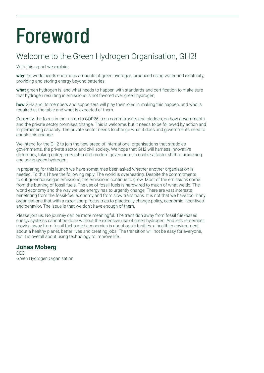# **Foreword**

### Welcome to the Green Hydrogen Organisation, GH2!

With this report we explain:

**why** the world needs enormous amounts of green hydrogen, produced using water and electricity, providing and storing energy beyond batteries,

**what** green hydrogen is, and what needs to happen with standards and certification to make sure that hydrogen resulting in emissions is not favored over green hydrogen,

**how** GH2 and its members and supporters will play their roles in making this happen, and who is required at the table and what is expected of them.

Currently, the focus in the run-up to COP26 is on commitments and pledges, on how governments and the private sector promises change. This is welcome, but it needs to be followed by action and implementing capacity. The private sector needs to change what it does and governments need to enable this change.

We intend for the GH2 to join the new breed of international organisations that straddles governments, the private sector and civil society. We hope that GH2 will harness innovative diplomacy, taking entrepreneurship and modern governance to enable a faster shift to producing and using green hydrogen.

In preparing for this launch we have sometimes been asked whether another organisation is needed. To this I have the following reply: The world is overheating. Despite the commitments to cut greenhouse gas emissions, the emissions continue to grow. Most of the emissions come from the burning of fossil fuels. The use of fossil fuels is hardwired to much of what we do. The world economy and the way we use energy has to urgently change. There are vast interests benefitting from the fossil-fuel economy and from slow transitions. It is not that we have too many organisations that with a razor-sharp focus tries to practically change policy, economic incentives and behavior. The issue is that we don't have enough of them.

Please join us. No journey can be more meaningful. The transition away from fossil fuel-based energy systems cannot be done without the extensive use of green hydrogen. And let's remember, moving away from fossil fuel-based economies is about opportunities: a healthier environment, about a healthy planet, better lives and creating jobs. The transition will not be easy for everyone, but it is overall about using technology to improve life.

#### **Jonas Moberg**

C<sub>EO</sub> Green Hydrogen Organisation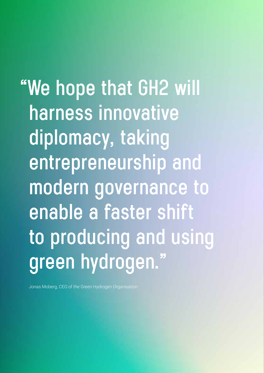**"We hope that GH2 will harness innovative diplomacy, taking entrepreneurship and modern governance to enable a faster shift to producing and using green hydrogen."**

Jonas Moberg, CEO of the Green Hydrogen Organisation.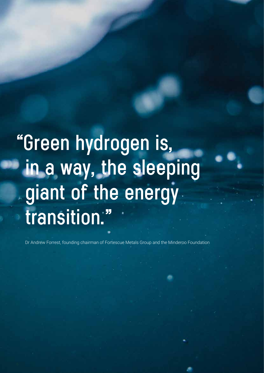# **"Green hydrogen is, in a way, the sleeping giant of the energy transition."**

Dr Andrew Forrest, founding chairman of Fortescue Metals Group and the Minderoo Foundation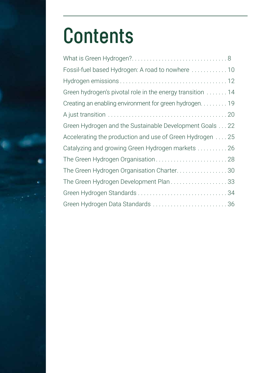# **Contents**

| Fossil-fuel based Hydrogen: A road to nowhere  10         |  |
|-----------------------------------------------------------|--|
|                                                           |  |
| Green hydrogen's pivotal role in the energy transition 14 |  |
| Creating an enabling environment for green hydrogen. 19   |  |
|                                                           |  |
| Green Hydrogen and the Sustainable Development Goals 22   |  |
| Accelerating the production and use of Green Hydrogen 25  |  |
| Catalyzing and growing Green Hydrogen markets 26          |  |
| The Green Hydrogen Organisation 28                        |  |
| The Green Hydrogen Organisation Charter30                 |  |
| The Green Hydrogen Development Plan33                     |  |
|                                                           |  |
| Green Hydrogen Data Standards  36                         |  |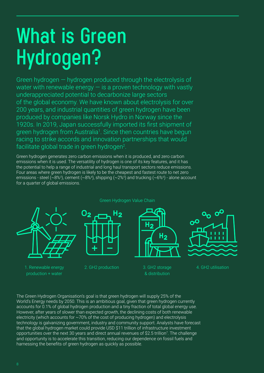# **What is Green Hydrogen?**

Green hydrogen — hydrogen produced through the electrolysis of water with renewable energy  $-$  is a proven technology with vastly underappreciated potential to decarbonize large sectors of the global economy. We have known about electrolysis for over 200 years, and industrial quantities of green hydrogen have been produced by companies like Norsk Hydro in Norway since the 1920s. In 2019, Japan successfully imported its first shipment of green hydrogen from Australia<sup>1</sup>. Since then countries have begun racing to strike accords and innovation partnerships that would facilitate global trade in green hydrogen<sup>2</sup>.

Green hydrogen generates zero carbon emissions when it is produced, and zero carbon emissions when it is used. The versatility of hydrogen is one of its key features, and it has the potential to help a range of industrial and long haul transport sectors reduce emissions. Four areas where green hydrogen is likely to be the cheapest and fastest route to net zero emissions - steel (~8%3), cement (~8%4), shipping (~2%5) and trucking (~6%6) - alone account for a quarter of global emissions.



1. Renewable energy production + water

Green Hydrogen Value Chain



2. GH2 production 3. GH2 storage

& distribution

H<sub>2</sub>



4. GH2 utilisation

The Green Hydrogen Organisation's goal is that green hydrogen will supply 25% of the World's Energy needs by 2050. This is an ambitious goal, given that green hydrogen currently accounts for 0.1% of global hydrogen production and a tiny fraction of total global energy use. However, after years of slower than expected growth, the declining costs of both renewable electricity (which accounts for  $\sim$  70% of the cost of producing hydrogen) and electrolysis technology is galvanizing government, industry and community support. Analysts have forecast that the global hydrogen market could provide USD \$11 trillion of infrastructure investment opportunities over the next 30 years and direct annual revenues of \$2.5 trillion<sup>7</sup>. The challenge and opportunity is to accelerate this transition, reducing our dependence on fossil fuels and harnessing the benefits of green hydrogen as quickly as possible.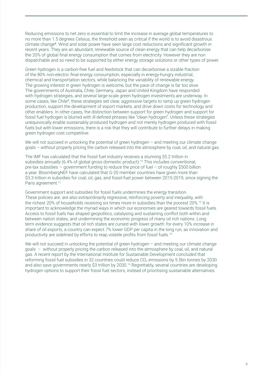Reducing emissions to net zero is essential to limit the increase in average global temperatures to no more than 1.5 degrees Celsius, the threshold seen as critical if the world is to avoid disastrous climate change8. Wind and solar power have seen large cost reductions and significant growth in recent years. They are an abundant, renewable source of clean energy that can help decarbonise the 20% of global final energy consumption that comes from electricity. However they are non dispatchable and so need to be supported by either energy storage solutions or other types of power.

Green hydrogen is a carbon-free fuel and feedstock that can decarbonise a sizable fraction of the 80% non-electric final energy consumption, especially in energy-hungry industrial, chemical and transportation sectors, while balancing the variability of renewable energy. The growing interest in green hydrogen is welcome, but the pace of change is far too slow. The governments of Australia, Chile, Germany, Japan and United Kingdom have responded with hydrogen strategies, and several large-scale green hydrogen investments are underway. In some cases, like Chile<sup>9</sup>, these strategies set clear, aggressive targets to ramp up green hydrogen production, support the development of export markets, and drive down costs for technology and other enablers. In other cases, the distinction between support for green hydrogen and support for fossil fuel hydrogen is blurred with ill-defined phrases like "clean hydrogen". Unless these strategies unequivocally enable sustainably produced hydrogen and not merely hydrogen produced with fossil fuels but with lower emissions, there is a risk that they will contribute to further delays in making green hydrogen cost competitive.

We will not succeed in unlocking the potential of green hydrogen – and meeting our climate change goals – without properly pricing the carbon released into the atmosphere by coal, oil, and natural gas.

The IMF has calculated that the fossil fuel industry receives a stunning \$5.2 trillion in subsidies annually (6.4% of global gross domestic product).<sup>10</sup> This includes conventional, pre-tax subsidies — government funding to reduce the price of fuel – of roughly \$500 billion a year. BloombergNEF have calculated that G-20 member countries have given more than \$3.3 trillion in subsidies for coal, oil, gas, and fossil-fuel power between 2015-2019, since signing the Paris agreement.<sup>11</sup>

Government support and subsidies for fossil fuels undermines the energy transition. These policies are. are also extraordinarily regressive, reinforcing poverty and inequality, with the richest 20% of households receiving six times more in subsidies than the poorest 20%.12 It is important to acknowledge the myriad ways in which our economies are geared towards fossil fuels. Access to fossil fuels has shaped geopolitics, catalysing and sustaining conflict both within and between nation states, and undermining the economic progress of many oil rich nations. Long term evidence suggests that oil rich states are cursed with lower growth: for every 10% increase in share of oil exports, a country can expect 7% lower GDP per capita in the long run, as innovation and productivity are sidelined by efforts to reap volatile profits from fossil fuels.<sup>13</sup>

We will not succeed in unlocking the potential of green hydrogen – and meeting our climate change goals – without properly pricing the carbon released into the atmosphere by coal, oil, and natural gas. A recent report by the International Institute for Sustainable Development concluded that reforming fossil fuel subsidies in 32 countries could reduce  $CO<sub>2</sub>$  emissions by 5.5bn tonnes by 2030 and also save governments nearly \$3 trillion by 2030.14 Regrettably, several countries are developing hydrogen options to support their fossil fuel sectors, instead of prioritising sustainable alternatives.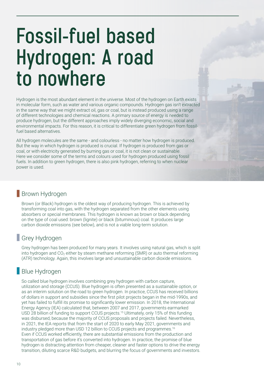## **Fossil-fuel based Hydrogen: A road to nowhere**

Hydrogen is the most abundant element in the universe. Most of the hydrogen on Earth exists in molecular form, such as water and various organic compounds. Hydrogen gas isn't extracted in the same way that we might extract oil, gas or coal, but is instead produced using a range of different technologies and chemical reactions. A primary source of energy is needed to produce hydrogen, but the different approaches imply widely diverging economic, social and environmental impacts. For this reason, it is critical to differentiate green hydrogen from fossilfuel based alternatives.

All hydrogen molecules are the same - and colourless - no matter how hydrogen is produced. But the way in which hydrogen is produced is crucial. If hydrogen is produced from gas or coal, or with electricity generated by burning gas or coal, it is not clean or sustainable. Here we consider some of the terms and colours used for hydrogen produced using fossil fuels. In addition to green hydrogen, there is also pink hydrogen, referring to when nuclear power is used.

### **Brown Hydrogen**

Brown (or Black) hydrogen is the oldest way of producing hydrogen. This is achieved by transforming coal into gas, with the hydrogen separated from the other elements using absorbers or special membranes. This hydrogen is known as brown or black depending on the type of coal used: brown (lignite) or black (bituminous) coal. It produces large carbon dioxide emissions (see below), and is not a viable long-term solution.

### Grey Hydrogen

Grey hydrogen has been produced for many years. It involves using natural gas, which is split into hydrogen and  $CO<sub>2</sub>$  either by steam methane reforming (SMR) or auto thermal reforming (ATR) technology. Again, this involves large and unsustainable carbon dioxide emissions.

### **Blue Hydrogen**

So called blue hydrogen involves combining grey hydrogen with carbon capture, utilization and storage (CCUS). Blue hydrogen is often presented as a sustainable option, or as an interim solution on the road to green hydrogen. In practice, CCUS has received billions of dollars in support and subsidies since the first pilot projects began in the mid-1990s, and yet has failed to fulfill its promise to significantly lower emission. In 2018, the International Energy Agency (IEA) calculated that, between 2007 and 2017, governments earmarked USD 28 billion of funding to support CCUS projects.15 Ultimately, only 15% of this funding was disbursed, because the majority of CCUS proposals and projects failed. Nevertheless, in 2021, the IEA reports that from the start of 2020 to early May 2021, governments and industry pledged more than USD 12 billion to CCUS projects and programmes.<sup>16</sup> Even if CCUS worked efficiently, there are substantial emissions from the production and transportation of gas before it's converted into hydrogen. In practice, the promise of blue hydrogen is distracting attention from cheaper, cleaner and faster options to drive the energy transition, diluting scarce R&D budgets, and blurring the focus of governments and investors.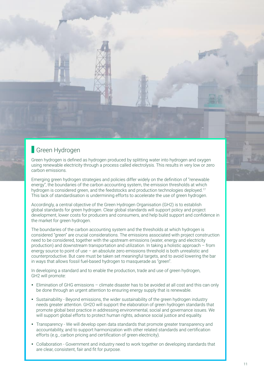

Green hydrogen is defined as hydrogen produced by splitting water into hydrogen and oxygen using renewable electricity through a process called electrolysis. This results in very low or zero carbon emissions.

Emerging green hydrogen strategies and policies differ widely on the definition of "renewable energy", the boundaries of the carbon accounting system, the emission thresholds at which hydrogen is considered green, and the feedstocks and production technologies deployed.17 This lack of standardisation is undermining efforts to accelerate the use of green hydrogen.

Accordingly, a central objective of the Green Hydrogen Organisation (GH2) is to establish global standards for green hydrogen. Clear global standards will support policy and project development, lower costs for producers and consumers, and help build support and confidence in the market for green hydrogen.

The boundaries of the carbon accounting system and the thresholds at which hydrogen is considered "green" are crucial considerations. The emissions associated with project construction need to be considered, together with the upstream emissions (water, energy and electricity production) and downstream transportation and utilization. In taking a holistic approach – from energy source to point of use – an absolute zero emissions threshold is both unrealistic and counterproductive. But care must be taken set meaningful targets, and to avoid lowering the bar in ways that allows fossil fuel-based hydrogen to masquerade as "green".

In developing a standard and to enable the production, trade and use of green hydrogen, GH2 will promote:

- Elimination of GHG emissions climate disaster has to be avoided at all cost and this can only be done through an urgent attention to ensuring energy supply that is renewable.
- Sustainability Beyond emissions, the wider sustainability of the green hydrogen industry needs greater attention. GH2O will support the elaboration of green hydrogen standards that promote global best practice in addressing environmental, social and governance issues. We will support global efforts to protect human rights, advance social justice and equality.
- Transparency We will develop open data standards that promote greater transparency and accountability, and to support harmonization with other related standards and certification efforts (e.g., carbon pricing and certification of green electricity).
- Collaboration Government and industry need to work together on developing standards that are clear, consistent, fair and fit for purpose.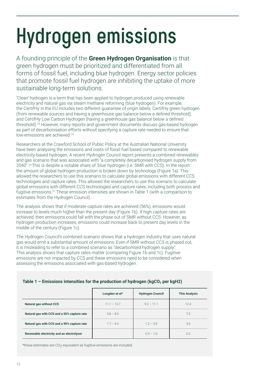# **Hydrogen emissions**

A founding principle of the **Green Hydrogen Organisation** is that green hydrogen must be prioritized and differentiated from all forms of fossil fuel, including blue hydrogen. Energy sector policies that promote fossil fuel hydrogen are inhibiting the uptake of more sustainable long-term solutions.

'Clean' hydrogen is a term that has been applied to hydrogen produced using renewable electricity and natural gas via steam methane reforming (blue hydrogen). For example, the CertifHy in the EU includes two different guarantee of origin labels: CertifHy green hydrogen (from renewable sources and having a greenhouse gas balance below a defined threshold), and CertifHy Low Carbon Hydrogen (having a greenhouse gas balance below a defined threshold).18 However, many reports and government documents discuss gas-based hydrogen as part of decarbonisation efforts without specifying a capture rate needed to ensure that low-emissions are achieved.<sup>19</sup>

Researchers at the Crawford School of Public Policy at the Australian National University have been analysing the emissions and costs of fossil fuel based compared to renewable electricity-based hydrogen. A recent Hydrogen Council report presents a combined renewables and gas scenario that was associated with "a completely decarbonised hydrogen supply from 2040".20 This is despite a notable share of 'blue' hydrogen (i.e. SMR with CCS). In the report the amount of global hydrogen production is broken down by technology (Figure 1a). This allowed the researchers to use this scenario to calculate global emissions with different CCS technologies and capture rates. This allowed the researchers to use this scenario to calculate global emissions with different CCS technologies and capture rates, including both process and fugitive emissions.21 These emission intensities are shown in Table 1 (with a comparison to estimates from the Hydrogen Council).

The analysis shows that if moderate capture rates are achieved (56%), emissions would increase to levels much higher than the present day (Figure 1b). If high capture rates are achieved, then emissions could fall with the phase out of SMR without CCS. However, as hydrogen production increases, emissions could increase back to present day levels in the middle of the century (Figure 1c).

The Hydrogen Council's combined scenario shows that a hydrogen industry that uses natural gas would emit a substantial amount of emissions. Even if SMR without CCS is phased out, it is misleading to refer to a combined scenario as "decarbonised hydrogen supply". This analysis shows that capture rates matter (comparing Figure 1b and 1c). Fugitive emissions are not impacted by CCS and these emissions need to be considered when assessing the emissions associated with gas-based hydrogen.

| Table 1 - Emissions intensities for the production of hydrogen (kgCO <sub>2</sub> per kgH2) |  |  |  |
|---------------------------------------------------------------------------------------------|--|--|--|
|                                                                                             |  |  |  |

|                                             | Longden et al* | <b>Hydrogen Council</b> | <b>This Analysis</b> |
|---------------------------------------------|----------------|-------------------------|----------------------|
| <b>Natural gas without CCS</b>              | $11.1 - 13.7$  | $92 - 111$              | 124                  |
| Natural gas with CCS and a 56% capture rate | $5.8 - 8.5$    |                         |                      |
| Natural gas with CCS and a 90% capture rate | $1.7 - 4.3$    | $12 - 39$               | 3.0                  |
| Renewable electricity and an electrolyzer   |                | .<br>$0.3 - 1.0$        | 0.3                  |

\*these estimates are CO<sub>2</sub>-equivalent as fugitive emissions are included.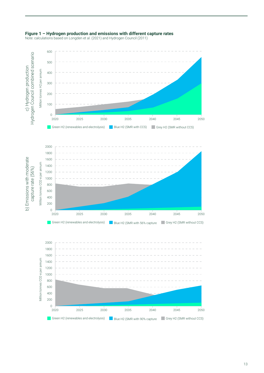

#### **Figure 1 – Hydrogen production and emissions with different capture rates**

Note: calculations based on Longden et al. (2021) and Hydrogen Council (2011)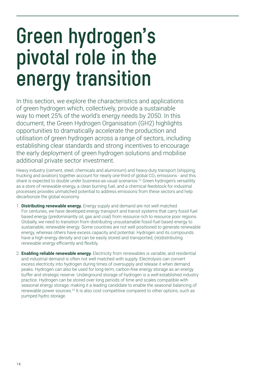## **Green hydrogen's pivotal role in the energy transition**

In this section, we explore the characteristics and applications of green hydrogen which, collectively, provide a sustainable way to meet 25% of the world's energy needs by 2050. In this document, the Green Hydrogen Organisation (GH2) highlights opportunities to dramatically accelerate the production and utilisation of green hydrogen across a range of sectors, including establishing clear standards and strong incentives to encourage the early deployment of green hydrogen solutions and mobilise additional private sector investment.

Heavy industry (cement, steel, chemicals and aluminium) and heavy-duty transport (shipping, trucking and aviation) together account for nearly one-third of global  $CO<sub>2</sub>$  emissions - and this share is expected to double under business-as-usual scenarios.<sup>22</sup> Green hydrogen's versatility as a store of renewable energy, a clean burning fuel, and a chemical feedstock for industrial processes provides unmatched potential to address emissions from these sectors and help decarbonize the global economy.

- 1. **Distributing renewable energy.** Energy supply and demand are not well matched. For centuries, we have developed energy transport and transit systems that carry fossil-fuel based energy (predominantly oil, gas and coal) from resource rich to resource poor regions. Globally, we need to transition from distributing unsustainable fossil-fuel based energy to sustainable, renewable energy. Some countries are not well positioned to generate renewable energy, whereas others have excess capacity and potential. Hydrogen and its compounds have a high energy density and can be easily stored and transported, (re)distributing renewable energy efficiently and flexibly.
- 2. **Enabling reliable renewable energy.** Electricity from renewables is variable, and residential and industrial demand is often not well matched with supply. Electrolysis can convert excess electricity into hydrogen during times of oversupply and release it when demand peaks. Hydrogen can also be used for long-term, carbon-free energy storage as an energy buffer and strategic reserve. Underground storage of hydrogen is a well-established industry practice. Hydrogen can be stored over long periods of time and scales compatible with seasonal energy storage, making it a leading candidate to enable the seasonal balancing of renewable power sources.23 It is also cost competitive compared to other options, such as pumped hydro storage.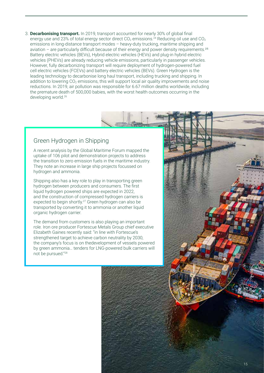3. **Decarbonising transport.** In 2019, transport accounted for nearly 30% of global final energy use and 23% of total energy sector direct  $CO_2$  emissions.<sup>24</sup> Reducing oil use and  $CO_2$ emissions in long-distance transport modes – heavy-duty trucking, maritime shipping and aviation – are particularly difficult because of their energy and power density requirements.<sup>25</sup> Battery electric vehicles (BEVs), Hybrid electric vehicles (HEVs) and plug-in hybrid electric vehicles (PHEVs) are already reducing vehicle emissions, particularly in passenger vehicles. However, fully decarbonizing transport will require deployment of hydrogen-powered fuel cell electric vehicles (FCEVs) and battery electric vehicles (BEVs). Green Hydrogen is the leading technology to decarbonise long haul transport, including trucking and shipping. In addition to lowering  $CO<sub>2</sub>$  emissions, this will support local air quality improvements and noise reductions. In 2019, air pollution was responsible for 6.67 million deaths worldwide, including the premature death of 500,000 babies, with the worst health outcomes occurring in the developing world.26

#### Green Hydrogen in Shipping

A recent analysis by the Global Maritime Forum mapped the uptake of 106 pilot and demonstration projects to address the transition to zero emission fuels in the maritime industry. They note an increase in large ship projects focussed on hydrogen and ammonia.

Shipping also has a key role to play in transporting green hydrogen between producers and consumers. The first liquid hydrogen powered ships are expected in 2022, and the construction of compressed hydrogen carriers is expected to begin shortly.<sup>27</sup> Green hydrogen can also be transported by converting it to ammonia or another liquid organic hydrogen carrier.

The demand from customers is also playing an important role. Iron ore producer Fortescue Metals Group chief executive Elizabeth Gaines recently said: "in line with Fortescue's strengthened target to achieve carbon neutrality by 2030, the company's focus is on thedevelopment of vessels powered by green ammonia… tenders for LNG-powered bulk carriers will not be pursued."28

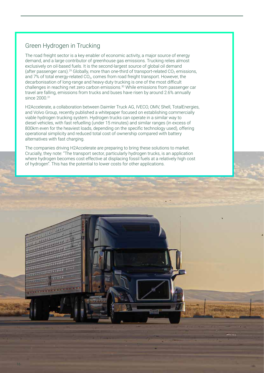### Green Hydrogen in Trucking

The road freight sector is a key enabler of economic activity, a major source of energy demand, and a large contributor of greenhouse gas emissions. Trucking relies almost exclusively on oil-based fuels. It is the second-largest source of global oil demand (after passenger cars).<sup>29</sup> Globally, more than one-third of transport-related  $CO<sub>2</sub>$  emissions, and 7% of total energy-related CO<sub>2</sub>, comes from road freight transport. However, the decarbonisation of long-range and heavy-duty trucking is one of the most difficult challenges in reaching net zero carbon emissions.30 While emissions from passenger car travel are falling, emissions from trucks and buses have risen by around 2.6% annually since 2000.<sup>31</sup>

H2Accelerate, a collaboration between Daimler Truck AG, IVECO, OMV, Shell, TotalEnergies, and Volvo Group, recently published a whitepaper focused on establishing commercially viable hydrogen trucking system. Hydrogen trucks can operate in a similar way to diesel vehicles, with fast refuelling (under 15 minutes) and similar ranges (in excess of 800km even for the heaviest loads, depending on the specific technology used), offering operational simplicity and reduced total cost of ownership compared with battery alternatives with fast charging.

The companies driving H2Accelerate are preparing to bring these solutions to market. Crucially, they note: "The transport sector, particularly hydrogen trucks, is an application where hydrogen becomes cost effective at displacing fossil fuels at a relatively high cost of hydrogen". This has the potential to lower costs for other applications.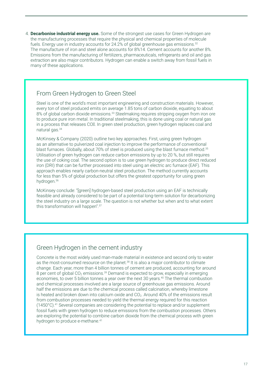4. **Decarbonise industrial energy use.** Some of the strongest use cases for Green Hydrogen are the manufacturing processes that require the physical and chemical properties of molecule fuels. Energy use in industry accounts for 24.2% of global greenhouse gas emissions.<sup>32</sup> The manufacture of iron and steel alone accounts for 8%14. Cement accounts for another 8%. Emissions from the manufacturing of fertilizers, pharmaceuticals, refrigerants and oil and gas extraction are also major contributors. Hydrogen can enable a switch away from fossil fuels in many of these applications.

#### From Green Hydrogen to Green Steel

Steel is one of the world's most important engineering and construction materials. However, every ton of steel produced emits on average 1.85 tons of carbon dioxide, equating to about 8% of global carbon dioxide emissions.<sup>33</sup> Steelmaking requires stripping oxygen from iron ore to produce pure iron metal. In traditional steelmaking, this is done using coal or natural gas in a process that releases COI. In green steel production, green hydrogen replaces coal and natural gas.34

McKinsey & Company (2020) outline two key approaches. First, using green hydrogen as an alternative to pulverized coal injection to improve the performance of conventional blast furnaces. Globally, about 70% of steel is produced using the blast furnace method.35 Utilisation of green hydrogen can reduce carbon emissions by up to 20 %, but still requires the use of coking coal. The second option is to use green hydrogen to produce direct reduced iron (DRI) that can be further processed into steel using an electric arc furnace (EAF). This approach enables nearly carbon-neutral steel production. The method currently accounts for less than 5% of global production but offers the greatest opportunity for using green hydrogen.36

McKinsey conclude: "[green] hydrogen-based steel production using an EAF is technically feasible and already considered to be part of a potential long-term solution for decarbonizing the steel industry on a large scale. The question is not whether but when and to what extent this transformation will happen".37

#### Green Hydrogen in the cement industry

Concrete is the most widely used man-made material in existence and second only to water as the most-consumed resource on the planet.<sup>38</sup> It is also a major contributor to climate change. Each year, more than 4 billion tonnes of cement are produced, accounting for around 8 per cent of global  $CO_2$  emissions.<sup>39</sup> Demand is expected to grow, especially in emerging economies, to over 5 billion tonnes a year over the next 30 years.<sup>40</sup> The thermal combustion and chemical processes involved are a large source of greenhouse gas emissions. Around half the emissions are due to the chemical process called calcination, whereby limestone is heated and broken down into calcium oxide and  $CO<sub>2</sub>$ . Around 40% of the emissions result from combustion processes needed to yield the thermal energy required for this reaction  $(1450^{\circ}C).41$  Several companies are considering the potential to replace and/or supplement fossil fuels with green hydrogen to reduce emissions from the combustion processes. Others are exploring the potential to combine carbon dioxide from the chemical process with green hydrogen to produce e-methane.<sup>41</sup>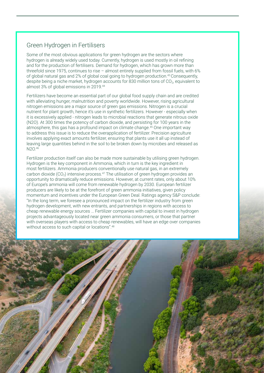#### Green Hydrogen in Fertilisers

Some of the most obvious applications for green hydrogen are the sectors where hydrogen is already widely used today. Currently, hydrogen is used mostly in oil refining and for the production of fertilisers. Demand for hydrogen, which has grown more than threefold since 1975, continues to rise – almost entirely supplied from fossil fuels, with 6% of global natural gas and 2% of global coal going to hydrogen production.<sup>43</sup> Consequently, despite being a niche market, hydrogen accounts for 830 million tons of  $CO<sub>2</sub>$ , equivalent to almost 3% of global emissions in 2019.44

Fertilizers have become an essential part of our global food supply chain and are credited with alleviating hunger, malnutrition and poverty worldwide. However, rising agricultural nitrogen emissions are a major source of green gas emissions. Nitrogen is a crucial nutrient for plant growth, hence it's use in synthetic fertilizers. However - especially when it is excessively applied - nitrogen leads to microbial reactions that generate nitrous oxide (N2O). At 300 times the potency of carbon dioxide, and persisting for 100 years in the atmosphere, this gas has a profound impact on climate change.45 One important way to address this issue is to reduce the overapplication of fertilizer. Precision agriculture involves applying exact amounts fertilizer, ensuring that plants use it all up instead of leaving large quantities behind in the soil to be broken down by microbes and released as N2O.46

Fertilizer production itself can also be made more sustainable by utilising green hydrogen. Hydrogen is the key component in Ammonia, which in turn is the key ingredient in most fertilizers. Ammonia producers conventionally use natural gas, in an extremely carbon dioxide  $(CO_2)$  intensive process.<sup>47</sup> The utilisation of green hydrogen provides an opportunity to dramatically reduce emissions. However, at current rates, only about 10% of Europe's ammonia will come from renewable hydrogen by 2030. European fertilizer producers are likely to be at the forefront of green ammonia initiatives, given policy momentum and incentives under the European Green Deal. Ratings agency S&P conclude: "In the long term, we foresee a pronounced impact on the fertilizer industry from green hydrogen development, with new entrants, and partnerships in regions with access to cheap renewable energy sources … Fertilizer companies with capital to invest in hydrogen projects advantageously located near green ammonia consumers, or those that partner with overseas players with access to cheap renewables, will have an edge over companies without access to such capital or locations".<sup>48</sup>

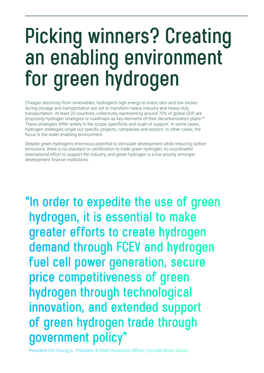## **Picking winners? Creating an enabling environment for green hydrogen**

Cheaper electricity from renewables, hydrogen's high energy to mass ratio and low losses during storage and transportation are set to transform heavy industry and heavy-duty transportation. At least 20 countries, collectively representing around 70% of global GDP, are proposing hydrogen strategies or roadmaps as key elements of their decarbonisation plans.49 These strategies differ widely in the scope, specificity and scale of support. In some cases, hydrogen strategies single out specific projects, companies and sectors. In other cases, the focus is the wider enabling environment.

Despite green hydrogen's enormous potential to stimulate development while reducing carbon emissions, there is no standard or certification to trade green hydrogen, no coordinated international effort to support the industry, and green hydrogen is a low priority amongst development finance institutions.

**"In order to expedite the use of green hydrogen, it is essential to make greater efforts to create hydrogen demand through FCEV and hydrogen fuel cell power generation, secure price competitiveness of green hydrogen through technological innovation, and extended support of green hydrogen trade through government policy"**

President Chi Young-jo, President & Chief Innovation Officer, Hyundai Motor Group.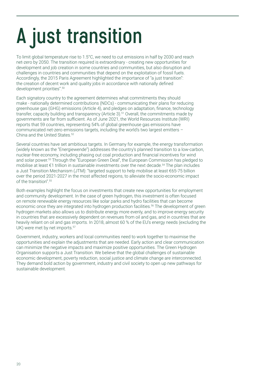# **A just transition**

To limit global temperature rise to 1.5°C, we need to cut emissions in half by 2030 and reach net-zero by 2050. The transition required is extraordinary - creating new opportunities for development and job creation in some countries and communities, but also disruption and challenges in countries and communities that depend on the exploitation of fossil fuels. Accordingly, the 2015 Paris Agreement highlighted the importance of "a just transition": the creation of decent work and quality jobs in accordance with nationally defined development priorities".50

Each signatory country to the agreement determines what commitments they should make - nationally determined contributions (NDCs) - communicating their plans for reducing greenhouse gas (GHG) emissions (Article 4), and pledges on adaptation, finance, technology transfer, capacity building and transparency (Article 3).<sup>51</sup> Overall, the commitments made by governments are far from sufficient. As of June 2021, the World Resources Institute (WRI) reports that 59 countries, representing 54% of global greenhouse gas emissions have communicated net-zero emissions targets, including the world's two largest emitters – China and the United States.<sup>52</sup>

Several countries have set ambitious targets. In Germany for example, the energy transformation (widely known as the "Energiewende") addresses the country's planned transition to a low-carbon, nuclear-free economy, including phasing out coal production and financial incentives for wind and solar power.53 Through the "European Green Deal", the European Commission has pledged to mobilise at least €1 trillion in sustainable investments over the next decade.54 The plan includes a Just Transition Mechanism (JTM): "targeted support to help mobilise at least €65-75 billion over the period 2021-2027 in the most affected regions, to alleviate the socio-economic impact of the transition".55

Both examples highlight the focus on investments that create new opportunities for employment and community development. In the case of green hydrogen, this investment is often focused on remote renewable energy resources like solar parks and hydro facilities that can become economic once they are integrated into hydrogen production facilities.<sup>56</sup> The development of green hydrogen markets also allows us to distribute energy more evenly, and to improve energy security in countries that are excessively dependent on revenues from oil and gas, and in countries that are heavily reliant on oil and gas imports. In 2018, almost 60 % of the EU's energy needs (excluding the UK) were met by net imports.<sup>57</sup>

Government, industry, workers and local communities need to work together to maximise the opportunities and explain the adjustments that are needed. Early action and clear communication can minimize the negative impacts and maximize positive opportunities. The Green Hydrogen Organisation supports a Just Transition. We believe that the global challenges of sustainable economic development, poverty reduction, social justice and climate change are interconnected. They demand bold action by government, industry and civil society to open up new pathways for sustainable development.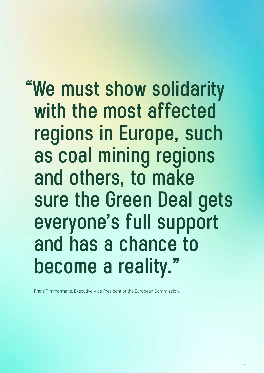**"We must show solidarity with the most affected regions in Europe, such as coal mining regions and others, to make sure the Green Deal gets everyone's full support and has a chance to become a reality."**

Frans Timmermans, Executive Vice-President of the European Commission.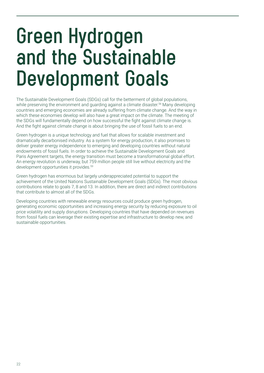## **Green Hydrogen and the Sustainable Development Goals**

The Sustainable Development Goals (SDGs) call for the betterment of global populations, while preserving the environment and guarding against a climate disaster.<sup>58</sup> Many developing countries and emerging economies are already suffering from climate change. And the way in which these economies develop will also have a great impact on the climate. The meeting of the SDGs will fundamentally depend on how successful the fight against climate change is. And the fight against climate change is about bringing the use of fossil fuels to an end.

Green hydrogen is a unique technology and fuel that allows for scalable investment and dramatically decarbonised industry. As a system for energy production, it also promises to deliver greater energy independence to emerging and developing countries without natural endowments of fossil fuels. In order to achieve the Sustainable Development Goals and Paris Agreement targets, the energy transition must become a transformational global effort. An energy revolution is underway, but 759 million people still live without electricity and the development opportunities it provides.<sup>59</sup>

Green hydrogen has enormous but largely underappreciated potential to support the achievement of the United Nations Sustainable Development Goals (SDGs). The most obvious contributions relate to goals 7, 8 and 13. In addition, there are direct and indirect contributions that contribute to almost all of the SDGs.

Developing countries with renewable energy resources could produce green hydrogen, generating economic opportunities and increasing energy security by reducing exposure to oil price volatility and supply disruptions. Developing countries that have depended on revenues from fossil fuels can leverage their existing expertise and infrastructure to develop new, and sustainable opportunities.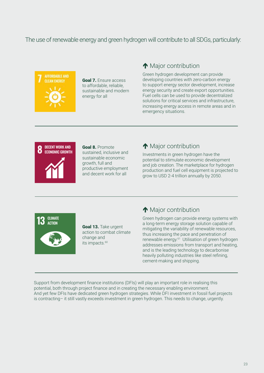#### The use of renewable energy and green hydrogen will contribute to all SDGs, particularly:



Goal 7. Ensure access to affordable, reliable, sustainable and modern energy for all

### **Major contribution**

Green hydrogen development can provide developing countries with zero-carbon energy to support energy sector development, increase energy security and create export opportunities. Fuel cells can be used to provide decentralized solutions for critical services and infrastructure, increasing energy access in remote areas and in emergency situations.



Goal 8. Promote sustained, inclusive and sustainable economic growth, full and productive employment and decent work for all

### ↑ Major contribution

Investments in green hydrogen have the potential to stimulate economic development and job creation. The marketplace for hydrogen production and fuel cell equipment is projected to grow to USD 2-4 trillion annually by 2050.



Goal 13. Take urgent action to combat climate change and its impacts.<sup>60</sup>

### ↑ Major contribution

Green hydrogen can provide energy systems with a long-term energy storage solution capable of mitigating the variability of renewable resources, thus increasing the pace and penetration of renewable energy.<sup>61</sup> Utilisation of green hydrogen addresses emissions from transport and heating, and is the leading technology to decarbonise heavily polluting industries like steel refining, cement-making and shipping.

Support from development finance institutions (DFIs) will play an important role in realising this potential, both through project finance and in creating the necessary enabling environment. And yet few DFIs have dedicated green hydrogen strategies. While DFI investment in fossil fuel projects is contracting– it still vastly exceeds investment in green hydrogen. This needs to change, urgently.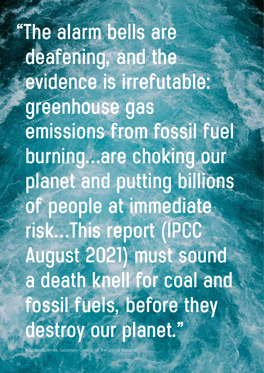**"The alarm bells are deafening, and the evidence is irrefutable: greenhouse gas emissions from fossil fuel burning…are choking our planet and putting billions of people at immediate risk…This report (IPCC August 2021) must sound a death knell for coal and fossil fuels, before they destroy our planet."**

nio Guterres, Secretary-General of the United I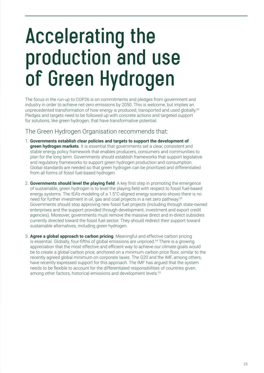## **Accelerating the production and use of Green Hydrogen**

The focus in the run-up to COP26 is on commitments and pledges from government and industry in order to achieve net-zero emissions by 2050. This is welcome, but implies an unprecedented transformation of how energy is produced, transported and used globally.<sup>62</sup> Pledges and targets need to be followed up with concrete actions and targeted support for solutions, like green hydrogen, that have transformative potential.

#### The Green Hydrogen Organisation recommends that:

- 1. **Governments establish clear policies and targets to support the development of green hydrogen markets**. It is essential that governments set a clear, consistent and stable energy policy framework that enables producers, consumers and communities to plan for the long term. Governments should establish frameworks that support legislative and regulatory frameworks to support green hydrogen production and consumption. Global standards are needed so that green hydrogen can be prioritized and differentiated from all forms of fossil fuel-based hydrogen.
- 2. **Governments should level the playing field**. A key first step in promoting the emergence of sustainable, green hydrogen is to level the playing field with respect to fossil fuel-based energy systems. The IEA's modeling of a 1.5°C-aligned energy scenario shows there is no need for further investment in oil, gas and coal projects in a net zero pathway.<sup>63</sup> Governments should stop approving new fossil fuel projects (including through state-owned enterprises and the support provided through development, investment and export credit agencies). Moreover, governments must remove the massive direct and in-direct subsidies currently directed toward the fossil fuel sector. They should redirect their support toward sustainable alternatives, including green hydrogen.
- 3. **Agree a global approach to carbon pricing**. Meaningful and effective carbon pricing is essential. Globally, four-fifths of global emissions are unpriced.<sup>64</sup> There is a growing appreciation that the most effective and efficient way to achieve our climate goals would be to create a global carbon price, anchored on a minimum carbon price floor, similar to the recently agreed global minimum on corporate taxes. The G20 and the IMF, among others, have recently expressed support for this approach. The IMF has argued that the system needs to be flexible to account for the differentiated responsibilities of countries given, among other factors, historical emissions and development levels.<sup>65</sup>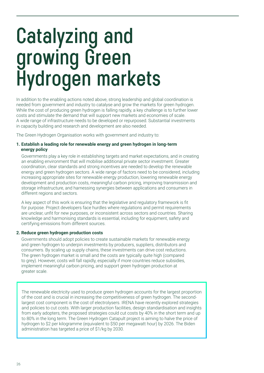## **Catalyzing and growing Green Hydrogen markets**

In addition to the enabling actions noted above, strong leadership and global coordination is needed from government and industry to catalyse and grow the markets for green hydrogen. While the cost of producing green hydrogen is falling rapidly, a key challenge is to further lower costs and stimulate the demand that will support new markets and economies of scale. A wide range of infrastructure needs to be developed or repurposed. Substantial investments in capacity building and research and development are also needed.

The Green Hydrogen Organisation works with government and industry to:

#### **1. Establish a leading role for renewable energy and green hydrogen in long-term energy policy**

Governments play a key role in establishing targets and market expectations, and in creating an enabling environment that will mobilise additional private sector investment. Greater coordination, clear standards and strong incentives are needed to develop the renewable energy and green hydrogen sectors. A wide range of factors need to be considered, including increasing appropriate sites for renewable energy production, lowering renewable energy development and production costs, meaningful carbon pricing, improving transmission and storage infrastructure, and harnessing synergies between applications and consumers in different regions and sectors.

A key aspect of this work is ensuring that the legislative and regulatory framework is fit for purpose. Project developers face hurdles where regulations and permit requirements are unclear, unfit for new purposes, or inconsistent across sectors and countries. Sharing knowledge and harmonising standards is essential, including for equipment, safety and certifying emissions from different sources.

#### **2. Reduce green hydrogen production costs**

Governments should adopt policies to create sustainable markets for renewable energy and green hydrogen to underpin investments by producers, suppliers, distributors and consumers. By scaling up supply chains, these investments can drive cost reductions. The green hydrogen market is small and the costs are typically quite high (compared to grey). However, costs will fall rapidly, especially if more countries reduce subsidies, implement meaningful carbon pricing, and support green hydrogen production at greater scale.

The renewable electricity used to produce green hydrogen accounts for the largest proportion of the cost and is crucial in increasing the competitiveness of green hydrogen. The secondlargest cost component is the cost of electrolysers. IRENA have recently explored strategies and policies to cut costs. With larger production facilities, design standardisation and insights from early adopters, the proposed strategies could cut costs by 40% in the short term and up to 80% in the long term. The Green Hydrogen Catapult project is aiming to halve the price of hydrogen to \$2 per kilogramme (equivalent to \$50 per megawatt hour) by 2026. The Biden administration has targeted a price of \$1/kg by 2030.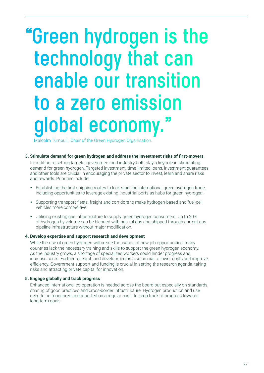## **"Green hydrogen is the technology that can enable our transition to a zero emission**  global economy.

Malcolm Turnbull, Chair of the Green Hydrogen Organisation.

#### **3. Stimulate demand for green hydrogen and address the investment risks of first-movers**

In addition to setting targets, government and industry both play a key role in stimulating demand for green hydrogen. Targeted investment, time-limited loans, investment guarantees and other tools are crucial in encouraging the private sector to invest, learn and share risks and rewards. Priorities include:

- Establishing the first shipping routes to kick-start the international green hydrogen trade. including opportunities to leverage existing industrial ports as hubs for green hydrogen.
- Supporting transport fleets, freight and corridors to make hydrogen-based and fuel-cell vehicles more competitive.
- Utilising existing gas infrastructure to supply green hydrogen consumers. Up to 20% of hydrogen by volume can be blended with natural gas and shipped through current gas pipeline infrastructure without major modification.

#### **4. Develop expertise and support research and development**

While the rise of green hydrogen will create thousands of new job opportunities, many countries lack the necessary training and skills to support the green hydrogen economy. As the industry grows, a shortage of specialized workers could hinder progress and increase costs. Further research and development is also crucial to lower costs and improve efficiency. Government support and funding is crucial in setting the research agenda, taking risks and attracting private capital for innovation.

#### **5. Engage globally and track progress**

Enhanced international co-operation is needed across the board but especially on standards, sharing of good practices and cross-border infrastructure. Hydrogen production and use need to be monitored and reported on a regular basis to keep track of progress towards long-term goals.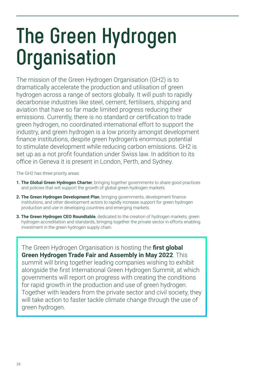# **The Green Hydrogen Organisation**

The mission of the Green Hydrogen Organisation (GH2) is to dramatically accelerate the production and utilisation of green hydrogen across a range of sectors globally. It will push to rapidly decarbonise industries like steel, cement, fertilisers, shipping and aviation that have so far made limited progress reducing their emissions. Currently, there is no standard or certification to trade green hydrogen, no coordinated international effort to support the industry, and green hydrogen is a low priority amongst development finance institutions, despite green hydrogen's enormous potential to stimulate development while reducing carbon emissions. GH2 is set up as a not profit foundation under Swiss law. In addition to its office in Geneva it is present in London, Perth, and Sydney.

The GH2 has three priority areas:

- **1. The Global Green Hydrogen Charter**, bringing together governments to share good practices and policies that will support the growth of global green hydrogen markets.
- **2. The Green Hydrogen Development Plan**, bringing governments, development finance institutions, and other development actors to rapidly increase support for green hydrogen production and use in developing countries and emerging markets.
- **3. The Green Hydrogen CEO Roundtable**, dedicated to the creation of hydrogen markets, green hydrogen accreditation and standards, bringing together the private sector in efforts enabling investment in the green hydrogen supply chain.

The Green Hydrogen Organisation is hosting the **first global Green Hydrogen Trade Fair and Assembly in May 2022**. This summit will bring together leading companies wishing to exhibit alongside the first International Green Hydrogen Summit, at which governments will report on progress with creating the conditions for rapid growth in the production and use of green hydrogen. Together with leaders from the private sector and civil society, they will take action to faster tackle climate change through the use of green hydrogen.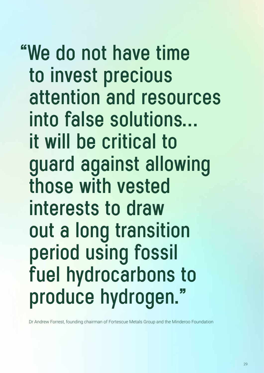## **"We do not have time to invest precious attention and resources into false solutions… it will be critical to guard against allowing those with vested interests to draw out a long transition period using fossil fuel hydrocarbons to produce hydrogen."**

Dr Andrew Forrest, founding chairman of Fortescue Metals Group and the Minderoo Foundation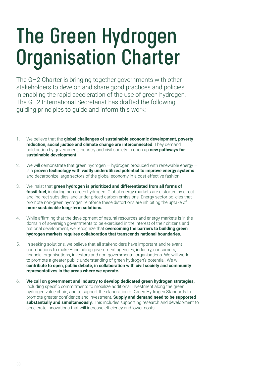# **The Green Hydrogen Organisation Charter**

The GH2 Charter is bringing together governments with other stakeholders to develop and share good practices and policies in enabling the rapid acceleration of the use of green hydrogen. The GH2 International Secretariat has drafted the following guiding principles to guide and inform this work:

- 1. We believe that the **global challenges of sustainable economic development, poverty reduction, social justice and climate change are interconnected**. They demand bold action by government, industry and civil society to open up **new pathways for sustainable development.**
- 2. We will demonstrate that green hydrogen  $-$  hydrogen produced with renewable energy  $$ is a **proven technology with vastly underutilized potential to improve energy systems** and decarbonize large sectors of the global economy in a cost-effective fashion.
- 3. We insist that **green hydrogen is prioritized and differentiated from all forms of fossil fuel**, including non-green hydrogen. Global energy markets are distorted by direct and indirect subsidies, and under-priced carbon emissions. Energy sector policies that promote non-green hydrogen reinforce these distortions are inhibiting the uptake of **more sustainable long-term solutions.**
- 4. While affirming that the development of natural resources and energy markets is in the domain of sovereign governments to be exercised in the interest of their citizens and national development, we recognize that **overcoming the barriers to building green hydrogen markets requires collaboration that transcends national boundaries.**
- 5. In seeking solutions, we believe that all stakeholders have important and relevant contributions to make – including government agencies, industry, consumers, financial organisations, investors and non-governmental organisations. We will work to promote a greater public understanding of green hydrogen's potential. We will **contribute to open, public debate, in collaboration with civil society and community representatives in the areas where we operate.**
- 6. **We call on government and industry to develop dedicated green hydrogen strategies,**  including specific commitments to mobilize additional investment along the green hydrogen value chain, and to support the elaboration of Green Hydrogen Standards to promote greater confidence and investment. **Supply and demand need to be supported substantially and simultaneously.** This includes supporting research and development to accelerate innovations that will increase efficiency and lower costs.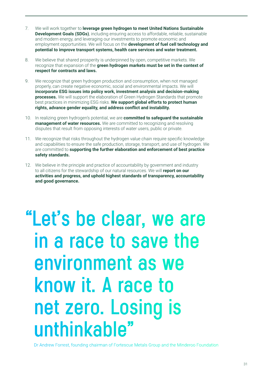- 7. We will work together to **leverage green hydrogen to meet United Nations Sustainable Development Goals (SDGs)**, including ensuring access to affordable, reliable, sustainable and modern energy, and leveraging our investments to promote economic and employment opportunities. We will focus on the **development of fuel cell technology and potential to improve transport systems, health care services and water treatment.**
- 8. We believe that shared prosperity is underpinned by open, competitive markets. We recognize that expansion of the **green hydrogen markets must be set in the context of respect for contracts and laws.**
- 9. We recognize that green hydrogen production and consumption, when not managed properly, can create negative economic, social and environmental impacts. We will **incorporate ESG issues into policy work, investment analysis and decision-making processes.** We will support the elaboration of Green Hydrogen Standards that promote best practices in minimizing ESG risks. **We support global efforts to protect human rights, advance gender equality, and address conflict and instability.**
- 10. In realizing green hydrogen's potential, we are **committed to safeguard the sustainable management of water resources.** We are committed to recognizing and resolving disputes that result from opposing interests of water users, public or private.
- 11. We recognize that risks throughout the hydrogen value chain require specific knowledge and capabilities to ensure the safe production, storage, transport, and use of hydrogen. We are committed to **supporting the further elaboration and enforcement of best practice safety standards.**
- 12. We believe in the principle and practice of accountability by government and industry to all citizens for the stewardship of our natural resources. We will **report on our activities and progress, and uphold highest standards of transparency, accountability and good governance.**

## **"Let's be clear, we are in a race to save the environment as we know it. A race to net zero. Losing is unthinkable"**

Dr Andrew Forrest, founding chairman of Fortescue Metals Group and the Minderoo Foundation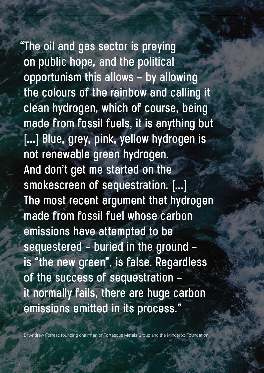**"The oil and gas sector is preying on public hope, and the political opportunism this allows – by allowing the colours of the rainbow and calling it clean hydrogen, which of course, being made from fossil fuels, it is anything but [...] Blue, grey, pink, yellow hydrogen is not renewable green hydrogen. And don't get me started on the smokescreen of sequestration. [...] The most recent argument that hydrogen made from fossil fuel whose carbon emissions have attempted to be sequestered – buried in the ground – is "the new green", is false. Regardless of the success of sequestration – it normally fails, there are huge carbon emissions emitted in its process."**

Dr Andrew Forrest, founding chairman of Fortescue Metals Group and the Minderoo Foundation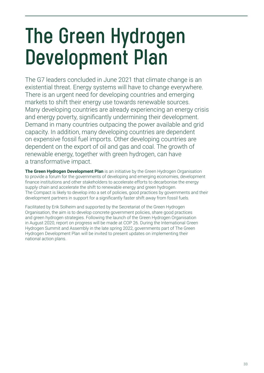# **The Green Hydrogen Development Plan**

The G7 leaders concluded in June 2021 that climate change is an existential threat. Energy systems will have to change everywhere. There is an urgent need for developing countries and emerging markets to shift their energy use towards renewable sources. Many developing countries are already experiencing an energy crisis and energy poverty, significantly undermining their development. Demand in many countries outpacing the power available and grid capacity. In addition, many developing countries are dependent on expensive fossil fuel imports. Other developing countries are dependent on the export of oil and gas and coal. The growth of renewable energy, together with green hydrogen, can have a transformative impact.

**The Green Hydrogen Development Plan** is an initiative by the Green Hydrogen Organisation to provide a forum for the governments of developing and emerging economies, development finance institutions and other stakeholders to accelerate efforts to decarbonise the energy supply chain and accelerate the shift to renewable energy and green hydrogen. The Compact is likely to develop into a set of policies, good practices by governments and their development partners in support for a significantly faster shift away from fossil fuels.

Facilitated by Erik Solheim and supported by the Secretariat of the Green Hydrogen Organisation, the aim is to develop concrete government policies, share good practices and green hydrogen strategies. Following the launch of the Green Hydrogen Organisation in August 2020, report on progress will be made at COP 26. During the International Green Hydrogen Summit and Assembly in the late spring 2022, governments part of The Green Hydrogen Development Plan will be invited to present updates on implementing their national action plans.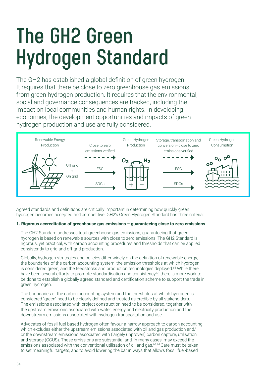# **The GH2 Green Hydrogen Standard**

The GH2 has established a global definition of green hydrogen. It requires that there be close to zero greenhouse gas emissions from green hydrogen production. It requires that the environmental, social and governance consequences are tracked, including the impact on local communities and human rights. In developing economies, the development opportunities and impacts of green hydrogen production and use are fully considered.



Agreed standards and definitions are critically important in determining how quickly green hydrogen becomes accepted and competitive. GH2's Green Hydrogen Standard has three criteria:

#### **1. Rigorous accreditation of greenhouse gas emissions – guaranteeing close to zero emissions**

The GH2 Standard addresses total greenhouse gas emissions, guaranteeing that green hydrogen is based on renewable sources with close to zero emissions. The GH2 Standard is rigorous, yet practical, with carbon accounting procedures and thresholds that can be applied consistently to grid and off grid production.

Globally, hydrogen strategies and policies differ widely on the definition of renewable energy, the boundaries of the carbon accounting system, the emission thresholds at which hydrogen is considered green, and the feedstocks and production technologies deployed.<sup>66</sup> While there have been several efforts to promote standardisation and consistency<sup>67</sup>, there is more work to be done to establish a globally agreed standard and certification scheme to support the trade in green hydrogen.

The boundaries of the carbon accounting system and the thresholds at which hydrogen is considered "green" need to be clearly defined and trusted as credible by all stakeholders. The emissions associated with project construction need to be considered, together with the upstream emissions associated with water, energy and electricity production and the downstream emissions associated with hydrogen transportation and use.

Advocates of fossil fuel-based hydrogen often favour a narrow approach to carbon accounting which excludes either the upstream emissions associated with oil and gas production and/ or the downstream emissions associated with (largely unproven) carbon capture, utilisation and storage (CCUS). These emissions are substantial and, in many cases, may exceed the emissions associated with the conventional utilisation of oil and gas.<sup>68, 69</sup> Care must be taken to set meaningful targets, and to avoid lowering the bar in ways that allows fossil fuel-based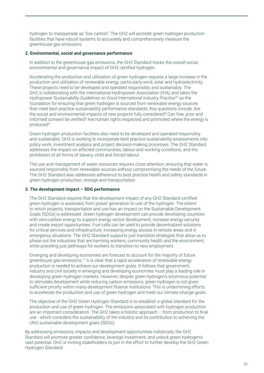hydrogen to masquerade as "low carbon". The GH2 will accredit green hydrogen production facilities that have robust systems to accurately and comprehensively measure the greenhouse gas emissions.

#### **2. Environmental, social and governance performance**

In addition to the greenhouse gas emissions, the GH2 Standard tracks the overall social, environmental and governance impact of GH2 certified hydrogen.

Accelerating the production and utilisation of green hydrogen requires a large increase in the production and utilisation of renewable energy, particularly wind, solar and hydroelectricity. These projects need to be developed and operated responsibly and sustainably. The GH2 is collaborating with the International Hydropower Association (IHA) and takes the *Hydropower Sustainability Guidelines on Good International Industry Practice*<sup>70</sup> as the foundation for ensuring that green hydrogen is sourced from renewable energy sources that meet best practice sustainability performance standards. Key questions include: Are the social and environmental impacts of new projects fully considered? Can free, prior and informed consent be verified? Are human rights respected and promoted where the energy is produced?

Green hydrogen production facilities also need to be developed and operated responsibly and sustainably. GH2 is working to incorporate best practice sustainability assessments into policy work, investment analysis and project decision-making processes. The GH2 Standard addresses the impact on affected communities, labour and working conditions, and the prohibition of all forms of slavery, child and forced labour.

The use and management of water resources requires close attention, ensuring that water is sourced responsibly from renewable sources without compromising the needs of the future. The GH2 Standard also addresses adherence to best practice health and safety standards in green hydrogen production, storage and transportation.

#### **3. The development impact – SDG performance**

The GH2 Standard requires that the development impact of any GH2 Standard certified green hydrogen is assessed, from power generation to use of the hydrogen. The extent to which projects, transportation and use has an impact on the Sustainable Development Goals (SDGs) is addressed. Green hydrogen development can provide developing countries with zero-carbon energy to support energy sector development, increase energy security and create export opportunities. Fuel cells can be used to provide decentralized solutions for critical services and infrastructure, increasing energy access in remote areas and in emergency situations. The GH2 Standard supports just transition strategies that allow us to phase out the industries that are harming workers, community health and the environment, while providing just pathways for workers to transition to new employment.

Emerging and developing economies are forecast to account for the majority of future greenhouse gas emissions.71 It is clear that a rapid acceleration of renewable energy production is needed to achieve our development goals. It follows that government, industry and civil society in emerging and developing economies must play a leading role in developing green hydrogen markets. However, despite green hydrogen's enormous potential to stimulate development while reducing carbon emissions, green hydrogen is not given sufficient priority within many development finance institutions. This is undermining efforts to accelerate the production and use of green hydrogen and meet our climate change goals.

The objective of the GH2 Green Hydrogen Standard is to establish a global standard for the production and use of green hydrogen. The emissions associated with hydrogen production are an important consideration. The GH2 takes a holistic approach – from production to final use - which considers the sustainability of the industry and its contribution to achieving the UN's sustainable development goals (SDGs).

By addressing emissions, impacts and development opportunities holistically, the GH2 Standard will promote greater confidence, leverage investment, and unlock green hydrogen's vast potential. GH2 is inviting stakeholders to join in the effort to further develop the GH2 Green Hydrogen Standard.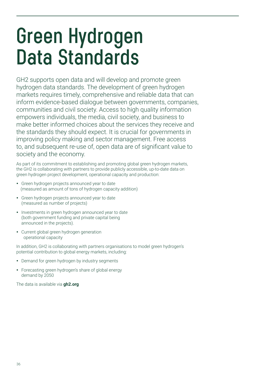## **Green Hydrogen Data Standards**

GH2 supports open data and will develop and promote green hydrogen data standards. The development of green hydrogen markets requires timely, comprehensive and reliable data that can inform evidence-based dialogue between governments, companies, communities and civil society. Access to high quality information empowers individuals, the media, civil society, and business to make better informed choices about the services they receive and the standards they should expect. It is crucial for governments in improving policy making and sector management. Free access to, and subsequent re-use of, open data are of significant value to society and the economy.

As part of its commitment to establishing and promoting global green hydrogen markets, the GH2 is collaborating with partners to provide publicly accessible, up-to-date data on green hydrogen project development, operational capacity and production:

- Green hydrogen projects announced year to date (measured as amount of tons of hydrogen capacity addition)
- Green hydrogen projects announced year to date (measured as number of projects)
- Investments in green hydrogen announced year to date (both government funding and private capital being announced in the projects).
- Current global green hydrogen generation operational capacity

In addition, GH2 is collaborating with partners organisations to model green hydrogen's potential contribution to global energy markets, including:

- Demand for green hydrogen by industry segments
- Forecasting green hydrogen's share of global energy demand by 2050

The data is available via **gh2.org**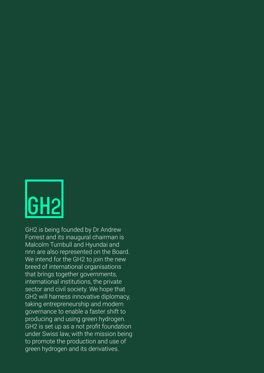

GH2 is being founded by Dr Andrew Forrest and its inaugural chairman is Malcolm Turnbull and Hyundai and nnn are also represented on the Board. We intend for the GH2 to join the new breed of international organisations that brings together governments, international institutions, the private sector and civil society. We hope that GH2 will harness innovative diplomacy, taking entrepreneurship and modern governance to enable a faster shift to producing and using green hydrogen. GH2 is set up as a not profit foundation under Swiss law, with the mission being to promote the production and use of green hydrogen and its derivatives.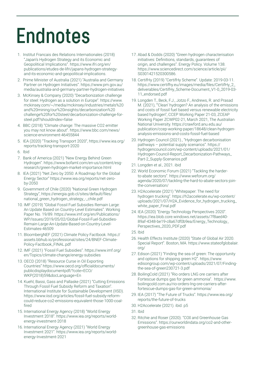# **Endnotes**

- 1. Institut Francais des Relations Internationales (2018) "Japan's Hydrogen Strategy and its Economic and Geopolitical Implications". https://www.ifri.org/en/ publications/etudes-de-lifri/japans-hydrogen-strategyand-its-economic-and-geopolitical-implications.
- 2. Prime Minister of Australia (2021) "Australia and Germany Partner on Hydrogen Initiatives". https://www.pm.gov.au/ media/australia-and-germany-partner-hydrogen-initiatives
- 3. McKinsey & Company (2020) "Decarbonization challenge for steel: Hydrogen as a solution in Europe". https://www. mckinsey.com/~/media/mckinsey/industries/metals%20 and%20mining/our%20insights/decarbonization%20 challenge%20for%20steel/decarbonization-challenge-forsteel.pdf?shouldIndex=false
- 4. BBC (2018) "Climate change: The massive CO2 emitter you may not know about". https://www.bbc.com/news/ science-environment-46455844
- 5. IEA (2020) "Tracking Transport 2020", https://www.iea.org/ reports/tracking-transport-2020
- 6. Ibid
- 7. Bank of America (2021) "New Energy Behind Green Hydrogen". https://www.bofaml.com/en-us/content/esgresearch/green-hydrogen-market-importance.html
- 8. IEA (2021) "Net Zero by 2050: A Roadmap for the Global Energy Sector" https://www.iea.org/reports/net-zeroby-2050
- 9. Government of Chile (2020) "National Green Hydrogen Strategy", https://energia.gob.cl/sites/default/files/ national\_green\_hydrogen\_strategy\_-\_chile.pdf
- 10. IMF (2019) "Global Fossil Fuel Subsidies Remain Large: An Update Based on Country-Level Estimates". Working Paper No. 19/89. https://www.imf.org/en/Publications/ WP/Issues/2019/05/02/Global-Fossil-Fuel-Subsidies-Remain-Large-An-Update-Based-on-Country-Level-Estimates-46509
- 11. BloombergNEF (2021) Climate Policy Factbook. https:// assets.bbhub.io/professional/sites/24/BNEF-Climate-Policy-Factbook\_FINAL.pdf
- 12. IMF (2021) "Fossil Fuel Subsidies". https://www.imf.org/ en/Topics/climate-change/energy-subsidies
- 13. OECD (2018) "Resource Curse in Oil Exporting Countries" https://www.oecd.org/officialdocuments/ publicdisplaydocumentpdf/?cote=ECO/ WKP(2018)59&docLanguage=En
- 14. Kuehl, Bassi, Gass and Pallaske (2021) "Cutting Emissions Through Fossil Fuel Subsidy Reform and Taxation". International Institute for Sustainable Development (IISD). https://www.iisd.org/articles/fossil-fuel-subsidy-reformcould-reduce-co2-emissions-equivalent-those-1000-coalfired
- 15. International Energy Agency (2018) "World Energy Investment 2018". https://www.iea.org/reports/worldenergy-investment-2018
- 16. International Energy Agency (2021) "World Energy Investment 2021". https://www.iea.org/reports/worldenergy-Investment-2021
- 17. Abad & Dodds (2020) "Green hydrogen characterisation initiatives: Definitions, standards, guarantees of origin, and challenges". Energy Policy. Volume 138. https://www.sciencedirect.com/science/article/pii/ S0301421520300586.
- 18. CertifHy (2019) "CertifHy Scheme". Update: 2019-03-11. https://www.certifhy.eu/images/media/files/CertifHy\_2\_ deliverables/CertifHy\_Scheme-Document\_V1-0\_2019-03- 11\_endorsed.pdf
- 19. Longden T., Beck, F.J., Jotzo F., Andrews, R. and Prasad M. (2021), "'Clean' hydrogen? An analysis of the emissions and costs of fossil fuel based versus renewable electricity based hydrogen", CCEP Working Paper 21-03, ZCEAP Working Paper ZCWP02-21, March 2021, The Australian National University. https://crawford.anu.edu.au/ publication/ccep-working-paper/18648/clean-hydrogenanalysis-emissions-and-costs-fossil-fuel-based
- 20. Hydrogen Council (2021)., "Hydrogen decarbonisation pathways – potential supply scenarios". https:// hydrogencouncil.com/wp-content/uploads/2021/01/ Hydrogen-Council-Report\_Decarbonization-Pathways\_ Part-2\_Supply-Scenarios.pdf
- 21. Longden et al., 2021. ibid
- 22. World Economic Forum (2021) "Tackling the harderto-abate sectors". https://www.weforum.org/ agenda/2020/07/tackling-the-hard-to-abate-sectors-jointhe-conversation/
- 23. H2Accelerate (2021) "Whitepaper: The need for hydrogen trucking". https://h2accelerate.eu/wp-content/ uploads/2021/07/H2A\_Evidence\_for\_hydrogen\_trucking\_ white\_paper\_Final.pdf
- 24. IEA (2020) "Energy Technology Perspectives 2020". https://iea.blob.core.windows.net/assets/7f8aed40- 89af-4348-be19-c8a67df0b9ea/Energy\_Technology\_ Perspectives\_2020\_PDF.pdf
- 25. Ibid
- 26. Health Effects Institute (2020) "State of Global Air 2020. Special Report". Boston, MA. https://www.stateofglobalair. org/
- 27. Edison (2021) "Finding the sea of green: The opportunity and options for shipping green H2". https://www. edisongroup.com/wp-content/uploads/2021/07/Findingthe-sea-of-green230721-3.pdf
- 28. BoilingCold (2021) "Rio orders LNG ore carriers after Fortescue dumps gas for green ammonia". https://www. boilingcold.com.au/rio-orders-lng-ore-carriers-afterfortescue-dumps-gas-for-green-ammonia/
- 29. IEA (2017) "The Future of Trucks". https://www.iea.org/ reports/the-future-of-trucks
- 30. H2Accelerate (2021). ibid. p5
- 31. Ibid
- 32. Ritchie and Roser (2020). "COII and Greenhouse Gas Emissions". https://ourworldindata.org/co2-and-othergreenhouse-gas-emissions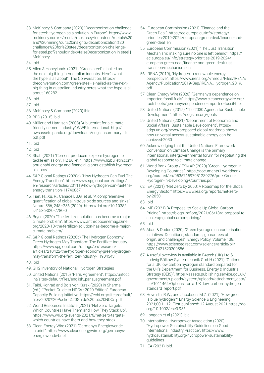- 33. McKinsey & Company (2020) "Decarbonization challenge for steel: Hydrogen as a solution in Europe". https://www. mckinsey.com/~/media/mckinsey/industries/metals%20 and%20mining/our%20insights/decarbonization%20 challenge%20for%20steel/decarbonization-challengefor-steel.pdf?shouldIndex=falseDecarbonization in steel | **McKinsey**
- 34. Ibid
- 35. Allen & Honeylands (2021) "'Green steel' is hailed as the next big thing in Australian industry. Here's what the hype is all about". The Conversation. https:// theconversation.com/green-steel-is-hailed-as-the-nextbig-thing-in-australian-industry-heres-what-the-hype-is-allabout-160282
- 36. Ibid
- 37. Ibid
- 38. McKinsey & Company (2020) ibid
- 39. BBC (2018) ibid.
- 40. Müller and Harnisch (2008) "A blueprint for a climate friendly cement industry" WWF International. http:// awsassets.panda.org/downloads/englishsummary\_\_lr\_ pdf.pdf
- 41. Ibid
- 42. Ibid
- 43. Shah (2021) "Cement producers explore hydrogen to tackle emission". H2 Bulletin. https://www.h2bulletin.com/ abu-dhabi-energy-and-financial-giants-establish-hydrogenalliance/
- 44. S&P Global Ratings (2020a) "How Hydrogen Can Fuel The Energy Transition". https://www.spglobal.com/ratings/ en/research/articles/201119-how-hydrogen-can-fuel-theenergy-transition-11740867
- 45. Tian, H., Xu, R., Canadell, J.G. et al. "A comprehensive quantification of global nitrous oxide sources and sinks". Nature 586, 248–256 (2020). https://doi.org/10.1038/ s41586-020-2780-0
- 46. Bryce (2020) "The fertilizer solution has become a major climate problem". https://www.anthropocenemagazine. org/2020/10/the-fertilizer-solution-has-become-a-majorclimate-problem/
- 47. S&P Global Ratings (2020b) The Hydrogen Economy: Green Hydrogen May Transform The Fertilizer Industry. https://www.spglobal.com/ratings/en/research/ articles/210422-the-hydrogen-economy-green-hydrogenmay-transform-the-fertilizer-industry-11904543
- 48. Ibid
- 49. GH2 Inventory of National Hydrogen Strategies
- 50. United Nations (2015) "Paris Agreement". https://unfccc. int/sites/default/files/english\_paris\_agreement.pdf
- 51. Taibi, Konrad and Bois von Kursk (2020) in Sharma (ed.). "Pocket Guide to NDCs : 2020 Edition". European Capacity Building Initiative. https://ecbi.org/sites/default/ files/2020%20Pocket%20Guide%20to%20NDCs.pdf
- 52. World Resources Institute (2021) "Net Zero Targets: Which Countries Have Them and How They Stack Up". https://www.wri.org/events/2021/6/net-zero-targetswhich-countries-have-them-and-how-they-stack
- 53. Clean Energy Wire (2021) "Germany's Energiewende in brief". https://www.cleanenergywire.org/germanysenergiewende-brief
- 54. European Commission (2021) "Finance and the Green Deal". https://ec.europa.eu/info/strategy/ priorities-2019-2024/european-green-deal/finance-andgreen-deal en
- 55. European Commission (2021) "The Just Transition Mechanism: making sure no one is left behind". https:// ec.europa.eu/info/strategy/priorities-2019-2024/ european-green-deal/finance-and-green-deal/justtransition-mechanism\_en
- 56. IRENA (2019), "Hydrogen: a renewable energy perspective". https://www.irena.org/-/media/Files/IRENA/ Agency/Publication/2019/Sep/IRENA\_Hydrogen\_2019. pdf
- 57. Clean Energy Wire (2020) "Germany's dependence on imported fossil fuels". https://www.cleanenergywire.org/ factsheets/germanys-dependence-imported-fossil-fuels
- 58. United Nations (2015) "The 2030 Agenda for Sustainable Development". https://sdgs.un.org/goals
- 59. United Nations (2021) "Department of Economic and Social Affairs. Sustainable Development". https:// sdgs.un.org/news/proposed-global-roadmap-showshow-universal-access-sustainable-energy-can-beachieved-2030
- 60. Acknowledging that the United Nations Framework Convention on Climate Change is the primary international, intergovernmental forum for negotiating the global response to climate change
- 61. World Bank Group / ESMAP (2020) "Green Hydrogen in Developing Countries". https://documents1.worldbank. org/curated/en/953571597951239276/pdf/ Green-Hydrogen-in-Developing-Countries.pdf
- 62. IEA (2021) "Net Zero by 2050: A Roadmap for the Global Energy Sector" https://www.iea.org/reports/net-zeroby-2050
- 63. Ibid
- 64. IMF (2021) "A Proposal to Scale Up Global Carbon Pricing". https://blogs.imf.org/2021/06/18/a-proposal-toscale-up-global-carbon-pricing/
- 65. Ibid
- 66. Abad & Dodds (2020) "Green hydrogen characterisation initiatives: Definitions, standards, guarantees of origin, and challenges". Energy Policy. Volume 138. https://www.sciencedirect.com/science/article/pii/ S0301421520300586 .
- 67. A useful overview is available in E4tech (UK) Ltd & Ludwig-Bölkow-Systemtechnik GmbH (2021) "Options for a UK low carbon hydrogen standard prepared for the UK's Department for Business, Energy & Industrial Strategy (BEIS)". https://assets.publishing.service.gov.uk/ government/uploads/system/uploads/attachment\_data/ file/1011464/Options\_for\_a\_UK\_low\_carbon\_hydrogen\_ standard\_report.pdf
- 68. Howarth, R.W., and Jacobson, M.Z. (2021) "How green is blue hydrogen?" Energy Science & Engineering. 2021;00:1–12. First published: 12 August 2021 https://doi. org/10.1002/ese3.956.
- 69. Longden et al (2021) ibid.
- 70. International Hydropower Association (2020) "Hydropower Sustainability Guidelines on Good International Industry Practice". https://www. hydrosustainability.org/hydropower-sustainabilityguidelines
- 71. IEA (2021) ibid.